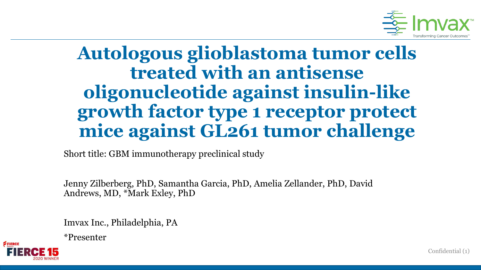

## **Autologous glioblastoma tumor cells treated with an antisense oligonucleotide against insulin-like growth factor type 1 receptor protect mice against GL261 tumor challenge**

Short title: GBM immunotherapy preclinical study

Jenny Zilberberg, PhD, Samantha Garcia, PhD, Amelia Zellander, PhD, David Andrews, MD, \*Mark Exley, PhD

Imvax Inc., Philadelphia, PA

\*Presenter

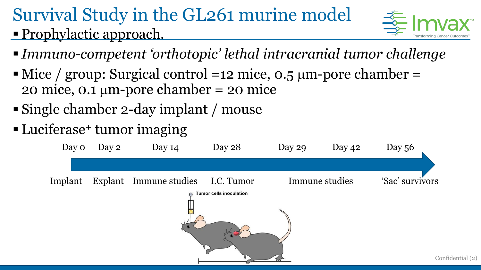## Survival Study in the GL261 murine model **Prophylactic approach.**



- *Immuno-competent 'orthotopic' lethal intracranial tumor challenge*
- $\blacksquare$  Mice / group: Surgical control =12 mice, 0.5 µm-pore chamber = 20 mice, 0.1  $\mu$ m-pore chamber = 20 mice
- Single chamber 2-day implant / mouse
- Luciferase<sup>+</sup> tumor imaging

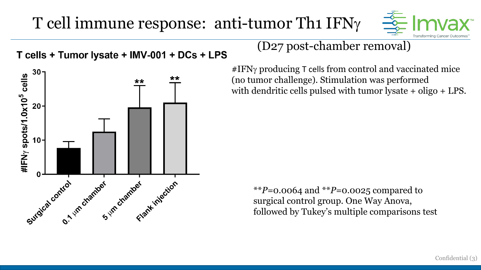## T cell immune response: anti-tumor Th1 IFN $\gamma$



T cells + Tumor lysate + IMV-001 + DCs + LPS



### (D27 post-chamber removal)

 $#IFN\gamma$  producing T cells from control and vaccinated mice (no tumor challenge). Stimulation was performed with dendritic cells pulsed with tumor lysate + oligo + LPS.

\*\**P=*0.0064 and \*\**P=*0.0025 compared to surgical control group. One Way Anova, followed by Tukey's multiple comparisons test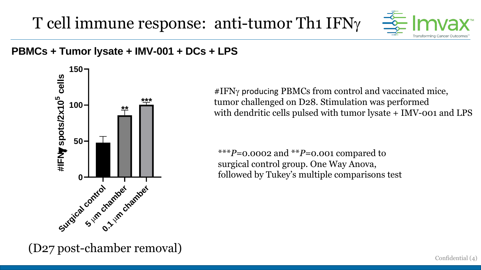T cell immune response: anti-tumor Th1  $IFN\gamma$ 



# **<sup>150</sup> PBMCs <sup>+</sup> Tumor lysate <sup>+</sup> IMV-001 <sup>+</sup> DCs <sup>+</sup> LPS**



 $\#IFN\gamma$  producing PBMCs from control and vaccinated mice, tumor challenged on D28. Stimulation was performed with dendritic cells pulsed with tumor lysate + IMV-001 and LPS

\*\*\**P=*0.0002 and \*\**P=*0.001 compared to surgical control group. One Way Anova, followed by Tukey's multiple comparisons test

(D27 post-chamber removal)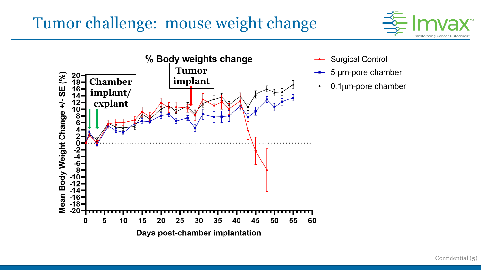## Tumor challenge: mouse weight change





- **Surgical Control**
- $\rightarrow$  5 µm-pore chamber
- $0.1 \mu m$ -pore chamber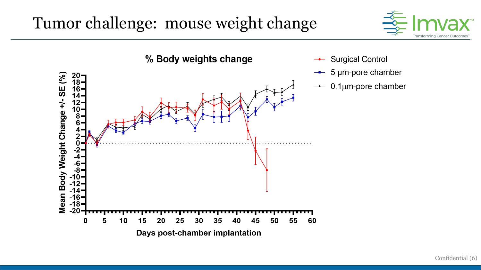## Tumor challenge: mouse weight change





- $\rightarrow$  5 µm-pore chamber
- $0.1 \mu m$ -pore chamber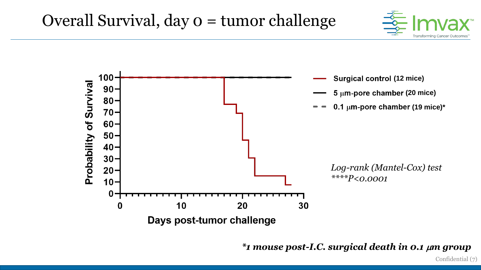![](_page_6_Picture_1.jpeg)

![](_page_6_Figure_2.jpeg)

*\*1 mouse post-I.C. surgical death in 0.1* m*m group*

Confidential (7)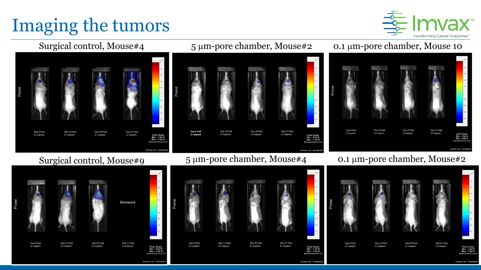# Imaging the tumors

![](_page_7_Picture_1.jpeg)

![](_page_7_Figure_2.jpeg)

### 5 µm-pore chamber, Mouse#2

![](_page_7_Figure_4.jpeg)

![](_page_7_Figure_6.jpeg)

Covance Inc. Conf

![](_page_7_Figure_7.jpeg)

![](_page_7_Figure_8.jpeg)

![](_page_7_Figure_9.jpeg)

![](_page_7_Figure_10.jpeg)

![](_page_7_Picture_11.jpeg)

### 5 μm-pore chamber, Mouse#4 0.1 μm-pore chamber, Mouse#2

Day 20 Post

IC implant

Day 27 Post

IC implant

![](_page_7_Picture_13.jpeg)

![](_page_7_Figure_14.jpeg)

### 0.1 mm-pore chamber, Mouse 10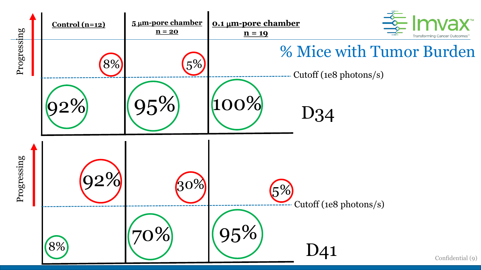![](_page_8_Figure_0.jpeg)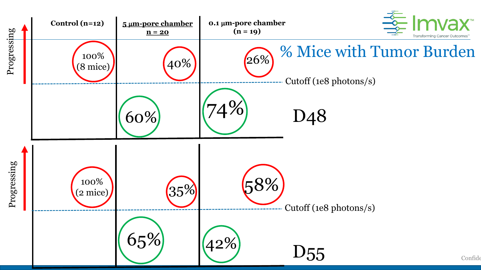![](_page_9_Figure_0.jpeg)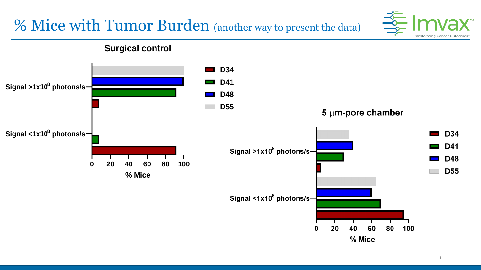## % Mice with Tumor Burden (another way to present the data)

![](_page_10_Picture_1.jpeg)

### **Surgical control**

![](_page_10_Figure_3.jpeg)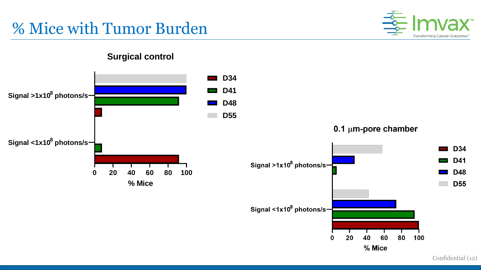## % Mice with Tumor Burden

![](_page_11_Picture_1.jpeg)

### **Surgical control**

![](_page_11_Figure_3.jpeg)

Confidential (12)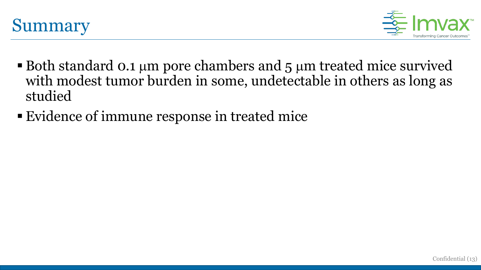![](_page_12_Picture_0.jpeg)

![](_page_12_Picture_1.jpeg)

- **Both standard 0.1 µm pore chambers and 5 µm treated mice survived** with modest tumor burden in some, undetectable in others as long as studied
- Evidence of immune response in treated mice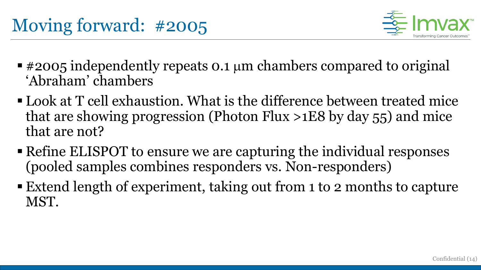![](_page_13_Picture_1.jpeg)

- $\blacksquare$  #2005 independently repeats 0.1 µm chambers compared to original 'Abraham' chambers
- $\blacksquare$  Look at T cell exhaustion. What is the difference between treated mice that are showing progression (Photon Flux  $>1E8$  by day 55) and mice that are not?
- Refine ELISPOT to ensure we are capturing the individual responses (pooled samples combines responders vs. Non-responders)
- Extend length of experiment, taking out from 1 to 2 months to capture MST.